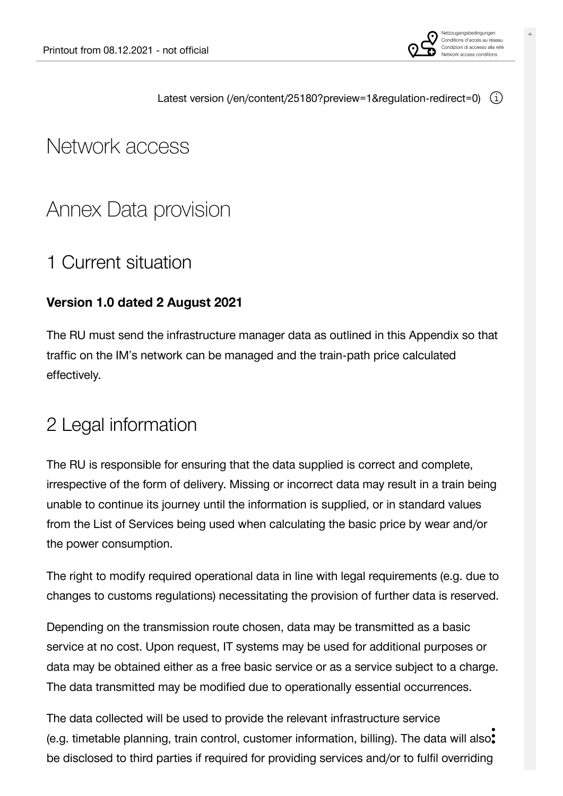

# Network access

# [Annex Data provision](https://vorgaben.sbb.ch/en/content/25180?regulation-redirect=0&jump-to=25180)

# 1 [Current situation](https://vorgaben.sbb.ch/en/content/25180?regulation-redirect=0&jump-to=25181)

#### **Version 1.0 dated 2 August 2021**

The RU must send the infrastructure manager data as outlined in this Appendix so that traffic on the IM's network can be managed and the train-path price calculated effectively.

# 2 [Legal information](https://vorgaben.sbb.ch/en/content/25180?regulation-redirect=0&jump-to=25182)

The RU is responsible for ensuring that the data supplied is correct and complete, irrespective of the form of delivery. Missing or incorrect data may result in a train being unable to continue its journey until the information is supplied, or in standard values from the List of Services being used when calculating the basic price by wear and/or the power consumption.

The right to modify required operational data in line with legal requirements (e.g. due to changes to customs regulations) necessitating the provision of further data is reserved.

Depending on the transmission route chosen, data may be transmitted as a basic service at no cost. Upon request, IT systems may be used for additional purposes or data may be obtained either as a free basic service or as a service subject to a charge. The data transmitted may be modified due to operationally essential occurrences.

The data collected will be used to provide the relevant infrastructure service (e.g. timetable planning, train control, customer information, billing). The data will also: be disclosed to third parties if required for providing services and/or to fulfil overriding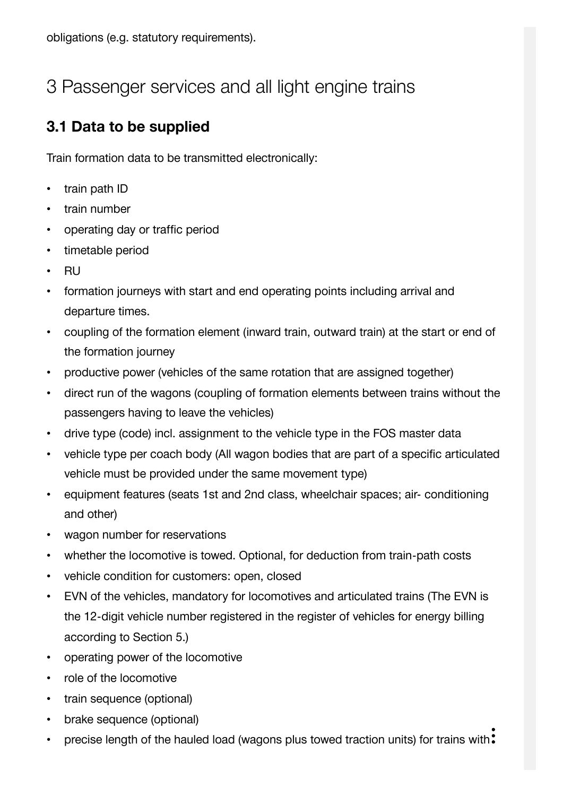# 3 [Passenger services and all light engine trains](https://vorgaben.sbb.ch/en/content/25180?regulation-redirect=0&jump-to=25183)

## **3.1 [Data to be supplied](https://vorgaben.sbb.ch/en/content/25180?regulation-redirect=0&jump-to=25184)**

Train formation data to be transmitted electronically:

- train path ID
- train number
- operating day or traffic period
- timetable period
- RU
- formation journeys with start and end operating points including arrival and departure times.
- coupling of the formation element (inward train, outward train) at the start or end of the formation journey
- productive power (vehicles of the same rotation that are assigned together)
- direct run of the wagons (coupling of formation elements between trains without the passengers having to leave the vehicles)
- drive type (code) incl. assignment to the vehicle type in the FOS master data
- vehicle type per coach body (All wagon bodies that are part of a specific articulated vehicle must be provided under the same movement type)
- equipment features (seats 1st and 2nd class, wheelchair spaces; air- conditioning and other)
- wagon number for reservations
- whether the locomotive is towed. Optional, for deduction from train-path costs
- vehicle condition for customers: open, closed
- EVN of the vehicles, mandatory for locomotives and articulated trains (The EVN is the 12-digit vehicle number registered in the register of vehicles for energy billing according to Section 5.)
- operating power of the locomotive
- role of the locomotive
- train sequence (optional)
- brake sequence (optional)
- precise length of the hauled load (wagons plus towed traction units) for trains with: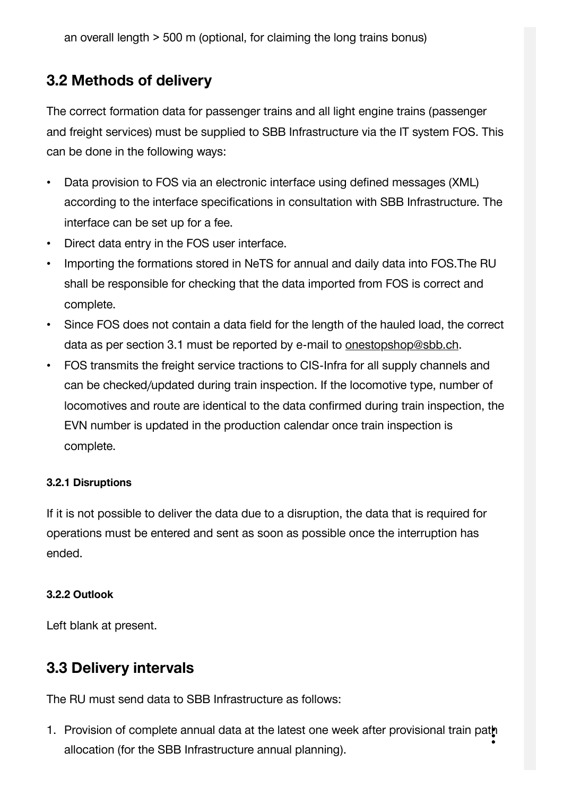an overall length > 500 m (optional, for claiming the long trains bonus)

### **3.2 [Methods of delivery](https://vorgaben.sbb.ch/en/content/25180?regulation-redirect=0&jump-to=25185)**

The correct formation data for passenger trains and all light engine trains (passenger and freight services) must be supplied to SBB Infrastructure via the IT system FOS. This can be done in the following ways:

- Data provision to FOS via an electronic interface using defined messages (XML) according to the interface specifications in consultation with SBB Infrastructure. The interface can be set up for a fee.
- Direct data entry in the FOS user interface.
- Importing the formations stored in NeTS for annual and daily data into FOS.The RU shall be responsible for checking that the data imported from FOS is correct and complete.
- Since FOS does not contain a data field for the length of the hauled load, the correct data as per section 3.1 must be reported by e-mail to [onestopshop@sbb.ch](javascript:linkDecryptEmail().
- FOS transmits the freight service tractions to CIS-Infra for all supply channels and can be checked/updated during train inspection. If the locomotive type, number of locomotives and route are identical to the data confirmed during train inspection, the EVN number is updated in the production calendar once train inspection is complete.

#### **3.2.1 [Disruptions](https://vorgaben.sbb.ch/en/content/25180?regulation-redirect=0&jump-to=25186)**

If it is not possible to deliver the data due to a disruption, the data that is required for operations must be entered and sent as soon as possible once the interruption has ended.

#### **3.2.2 [Outlook](https://vorgaben.sbb.ch/en/content/25180?regulation-redirect=0&jump-to=25187)**

Left blank at present.

#### **3.3 [Delivery intervals](https://vorgaben.sbb.ch/en/content/25180?regulation-redirect=0&jump-to=25188)**

The RU must send data to SBB Infrastructure as follows:

1. Provision of complete annual data at the latest one week after provisional train path allocation (for the SBB Infrastructure annual planning).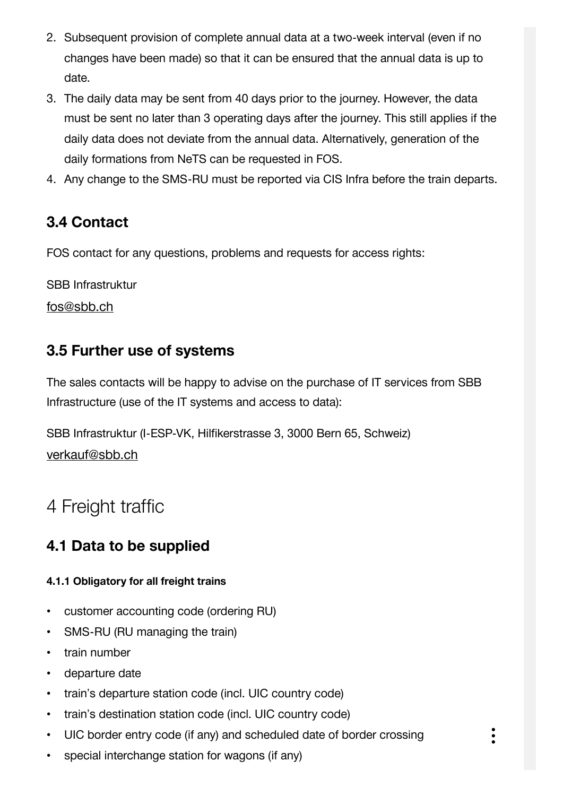- 2. Subsequent provision of complete annual data at a two-week interval (even if no changes have been made) so that it can be ensured that the annual data is up to date.
- 3. The daily data may be sent from 40 days prior to the journey. However, the data must be sent no later than 3 operating days after the journey. This still applies if the daily data does not deviate from the annual data. Alternatively, generation of the daily formations from NeTS can be requested in FOS.
- 4. Any change to the SMS-RU must be reported via CIS Infra before the train departs.

## **3.4 [Contact](https://vorgaben.sbb.ch/en/content/25180?regulation-redirect=0&jump-to=25189)**

FOS contact for any questions, problems and requests for access rights:

SBB Infrastruktur

[fos@sbb.ch](javascript:linkDecryptEmail()

## **3.5 [Further use of systems](https://vorgaben.sbb.ch/en/content/25180?regulation-redirect=0&jump-to=25191)**

The sales contacts will be happy to advise on the purchase of IT services from SBB Infrastructure (use of the IT systems and access to data):

SBB Infrastruktur (I-ESP-VK, Hilfikerstrasse 3, 3000 Bern 65, Schweiz) [verkauf@sbb.ch](javascript:linkDecryptEmail()

# 4 [Freight traffic](https://vorgaben.sbb.ch/en/content/25180?regulation-redirect=0&jump-to=25192)

## **4.1 [Data to be supplied](https://vorgaben.sbb.ch/en/content/25180?regulation-redirect=0&jump-to=25193)**

#### **4.1.1 [Obligatory for all freight trains](https://vorgaben.sbb.ch/en/content/25180?regulation-redirect=0&jump-to=25194)**

- customer accounting code (ordering RU)
- SMS-RU (RU managing the train)
- train number
- departure date
- train's departure station code (incl. UIC country code)
- train's destination station code (incl. UIC country code)
- UIC border entry code (if any) and scheduled date of border crossing
- special interchange station for wagons (if any)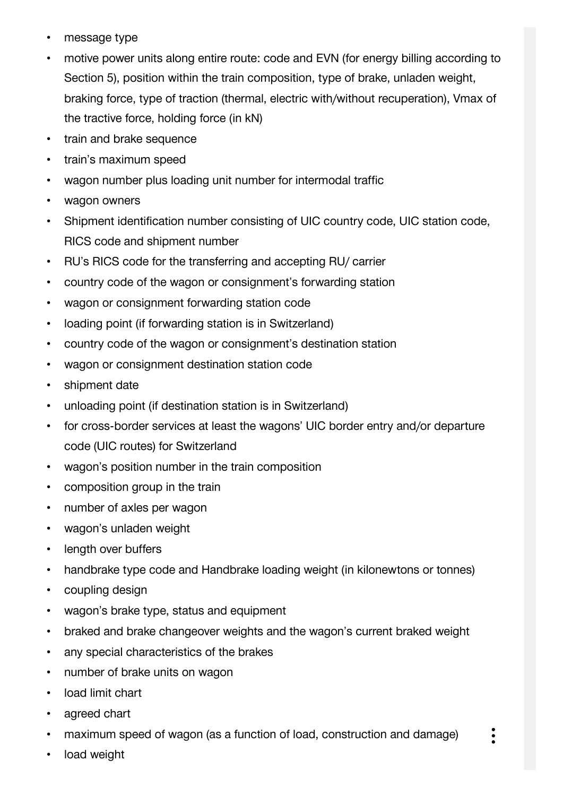- message type
- motive power units along entire route: code and EVN (for energy billing according to Section 5), position within the train composition, type of brake, unladen weight, braking force, type of traction (thermal, electric with/without recuperation), Vmax of the tractive force, holding force (in kN)
- train and brake sequence
- train's maximum speed
- wagon number plus loading unit number for intermodal traffic
- wagon owners
- Shipment identification number consisting of UIC country code, UIC station code, RICS code and shipment number
- RU's RICS code for the transferring and accepting RU/ carrier
- country code of the wagon or consignment's forwarding station
- wagon or consignment forwarding station code
- loading point (if forwarding station is in Switzerland)
- country code of the wagon or consignment's destination station
- wagon or consignment destination station code
- shipment date
- unloading point (if destination station is in Switzerland)
- for cross-border services at least the wagons' UIC border entry and/or departure code (UIC routes) for Switzerland
- wagon's position number in the train composition
- composition group in the train
- number of axles per wagon
- wagon's unladen weight
- length over buffers
- handbrake type code and Handbrake loading weight (in kilonewtons or tonnes)
- coupling design
- wagon's brake type, status and equipment
- braked and brake changeover weights and the wagon's current braked weight
- any special characteristics of the brakes
- number of brake units on wagon
- load limit chart
- agreed chart
- maximum speed of wagon (as a function of load, construction and damage)

 $\ddot{\cdot}$ 

load weight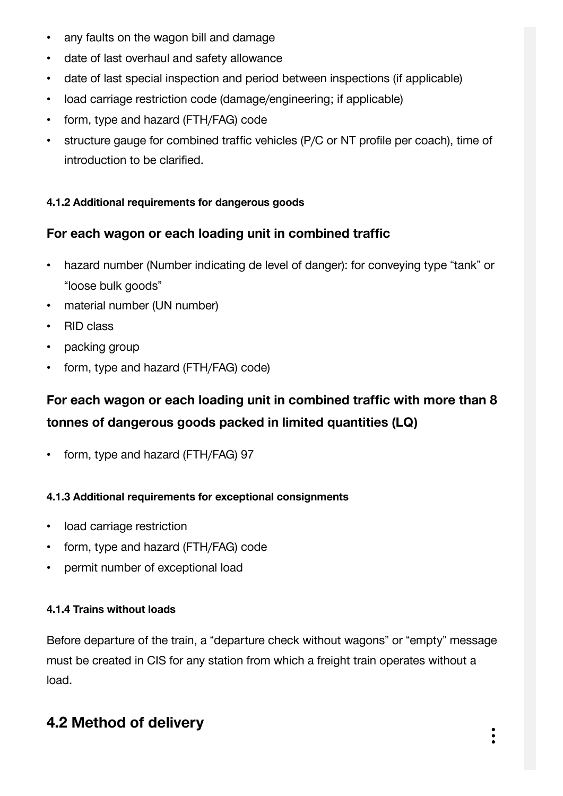- any faults on the wagon bill and damage
- date of last overhaul and safety allowance
- date of last special inspection and period between inspections (if applicable)
- load carriage restriction code (damage/engineering; if applicable)
- form, type and hazard (FTH/FAG) code
- structure gauge for combined traffic vehicles (P/C or NT profile per coach), time of introduction to be clarified.

#### **4.1.2 [Additional requirements for dangerous goods](https://vorgaben.sbb.ch/en/content/25180?regulation-redirect=0&jump-to=25195)**

#### **For each wagon or each loading unit in combined traffic**

- hazard number (Number indicating de level of danger): for conveying type "tank" or "loose bulk goods"
- material number (UN number)
- RID class
- packing group
- form, type and hazard (FTH/FAG) code)

## **For each wagon or each loading unit in combined traffic with more than 8 tonnes of dangerous goods packed in limited quantities (LQ)**

• form, type and hazard (FTH/FAG) 97

#### **4.1.3 [Additional requirements for exceptional consignments](https://vorgaben.sbb.ch/en/content/25180?regulation-redirect=0&jump-to=25196)**

- load carriage restriction
- form, type and hazard (FTH/FAG) code
- permit number of exceptional load

#### **4.1.4 [Trains without loads](https://vorgaben.sbb.ch/en/content/25180?regulation-redirect=0&jump-to=25197)**

Before departure of the train, a "departure check without wagons" or "empty" message must be created in CIS for any station from which a freight train operates without a load.

# **4.2 [Method of delivery](https://vorgaben.sbb.ch/en/content/25180?regulation-redirect=0&jump-to=25198)**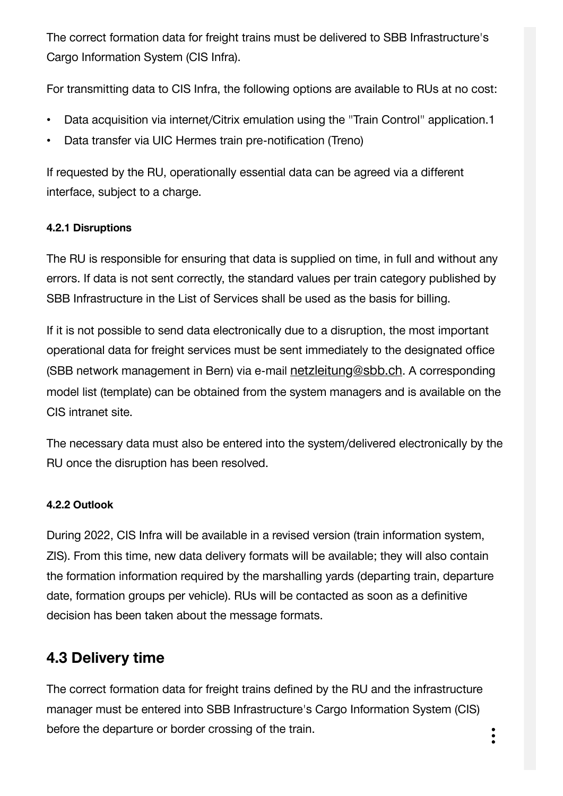The correct formation data for freight trains must be delivered to SBB Infrastructure's Cargo Information System (CIS Infra).

For transmitting data to CIS Infra, the following options are available to RUs at no cost:

- Data acquisition via internet/Citrix emulation using the "Train Control" application.1
- Data transfer via UIC Hermes train pre-notification (Treno)

If requested by the RU, operationally essential data can be agreed via a different interface, subject to a charge.

#### **4.2.1 [Disruptions](https://vorgaben.sbb.ch/en/content/25180?regulation-redirect=0&jump-to=25199)**

The RU is responsible for ensuring that data is supplied on time, in full and without any errors. If data is not sent correctly, the standard values per train category published by SBB Infrastructure in the List of Services shall be used as the basis for billing.

If it is not possible to send data electronically due to a disruption, the most important operational data for freight services must be sent immediately to the designated office (SBB network management in Bern) via e-mail [netzleitung@sbb.ch](javascript:linkDecryptEmail(). A corresponding model list (template) can be obtained from the system managers and is available on the CIS intranet site.

The necessary data must also be entered into the system/delivered electronically by the RU once the disruption has been resolved.

#### **4.2.2 [Outlook](https://vorgaben.sbb.ch/en/content/25180?regulation-redirect=0&jump-to=25202)**

During 2022, CIS Infra will be available in a revised version (train information system, ZIS). From this time, new data delivery formats will be available; they will also contain the formation information required by the marshalling yards (departing train, departure date, formation groups per vehicle). RUs will be contacted as soon as a definitive decision has been taken about the message formats.

## **4.3 [Delivery time](https://vorgaben.sbb.ch/en/content/25180?regulation-redirect=0&jump-to=25203)**

The correct formation data for freight trains defined by the RU and the infrastructure manager must be entered into SBB Infrastructure's Cargo Information System (CIS) before the departure or border crossing of the train.<br>•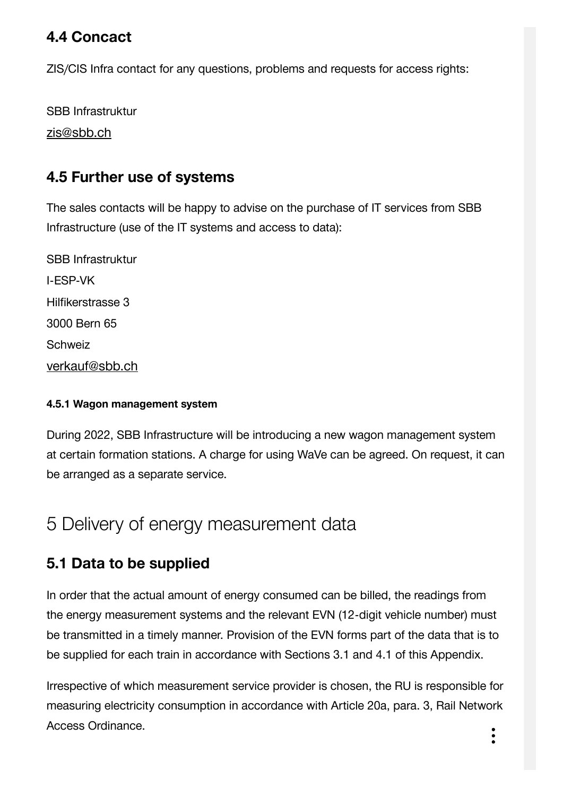## **4.4 [Concact](https://vorgaben.sbb.ch/en/content/25180?regulation-redirect=0&jump-to=25204)**

ZIS/CIS Infra contact for any questions, problems and requests for access rights:

SBB Infrastruktur

[zis@sbb.ch](javascript:linkDecryptEmail()

## **4.5 [Further use of systems](https://vorgaben.sbb.ch/en/content/25180?regulation-redirect=0&jump-to=25206)**

The sales contacts will be happy to advise on the purchase of IT services from SBB Infrastructure (use of the IT systems and access to data):

SBB Infrastruktur I-ESP-VK Hilfikerstrasse 3 3000 Bern 65 **Schweiz** [verkauf@sbb.ch](javascript:linkDecryptEmail()

#### **4.5.1 [Wagon management system](https://vorgaben.sbb.ch/en/content/25180?regulation-redirect=0&jump-to=25207)**

During 2022, SBB Infrastructure will be introducing a new wagon management system at certain formation stations. A charge for using WaVe can be agreed. On request, it can be arranged as a separate service.

## 5 [Delivery of energy measurement data](https://vorgaben.sbb.ch/en/content/25180?regulation-redirect=0&jump-to=25208)

## **5.1 [Data to be supplied](https://vorgaben.sbb.ch/en/content/25180?regulation-redirect=0&jump-to=25209)**

In order that the actual amount of energy consumed can be billed, the readings from the energy measurement systems and the relevant EVN (12-digit vehicle number) must be transmitted in a timely manner. Provision of the EVN forms part of the data that is to be supplied for each train in accordance with Sections 3.1 and 4.1 of this Appendix.

Irrespective of which measurement service provider is chosen, the RU is responsible for measuring electricity consumption in accordance with Article 20a, para. 3, Rail Network Access Ordinance.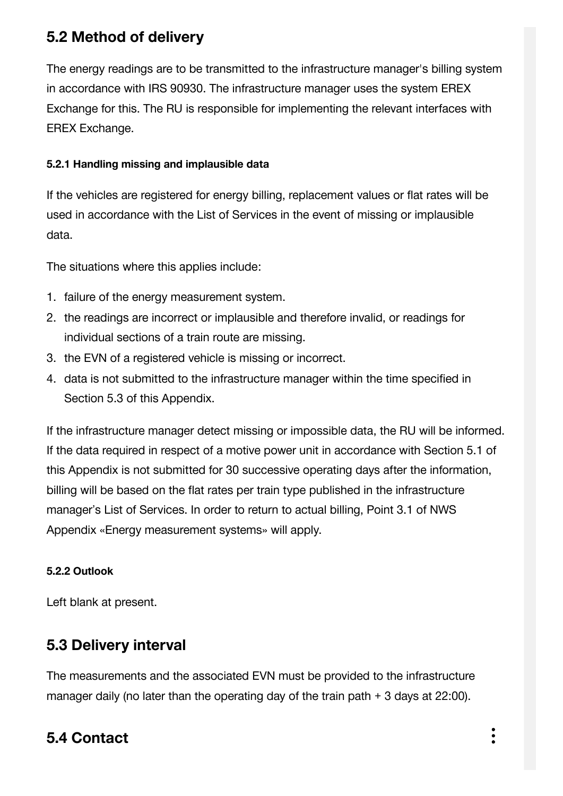## **5.2 [Method of delivery](https://vorgaben.sbb.ch/en/content/25180?regulation-redirect=0&jump-to=25210)**

The energy readings are to be transmitted to the infrastructure manager's billing system in accordance with IRS 90930. The infrastructure manager uses the system EREX Exchange for this. The RU is responsible for implementing the relevant interfaces with EREX Exchange.

#### **5.2.1 [Handling missing and implausible data](https://vorgaben.sbb.ch/en/content/25180?regulation-redirect=0&jump-to=25211)**

If the vehicles are registered for energy billing, replacement values or flat rates will be used in accordance with the List of Services in the event of missing or implausible data.

The situations where this applies include:

- 1. failure of the energy measurement system.
- 2. the readings are incorrect or implausible and therefore invalid, or readings for individual sections of a train route are missing.
- 3. the EVN of a registered vehicle is missing or incorrect.
- 4. data is not submitted to the infrastructure manager within the time specified in Section 5.3 of this Appendix.

If the infrastructure manager detect missing or impossible data, the RU will be informed. If the data required in respect of a motive power unit in accordance with Section 5.1 of this Appendix is not submitted for 30 successive operating days after the information, billing will be based on the flat rates per train type published in the infrastructure manager's List of Services. In order to return to actual billing, Point 3.1 of NWS Appendix «Energy measurement systems» will apply.

#### **5.2.2 [Outlook](https://vorgaben.sbb.ch/en/content/25180?regulation-redirect=0&jump-to=25865)**

Left blank at present.

## **5.3 [Delivery interval](https://vorgaben.sbb.ch/en/content/25180?regulation-redirect=0&jump-to=25212)**

The measurements and the associated EVN must be provided to the infrastructure manager daily (no later than the operating day of the train path + 3 days at 22:00).

# **5.4 [Contact](https://vorgaben.sbb.ch/en/content/25180?regulation-redirect=0&jump-to=25213)**